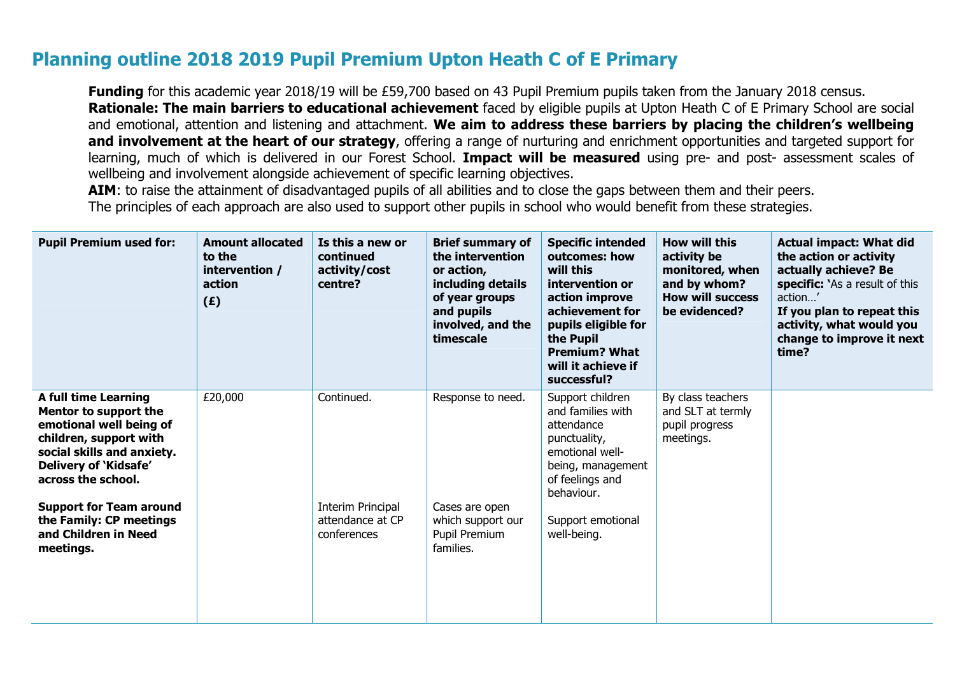## **Planning outline 2018 2019 Pupil Premium Upton Heath C of E Primary**

**Funding** for this academic year 2018/19 will be £59,700 based on 43 Pupil Premium pupils taken from the January 2018 census. **Rationale: The main barriers to educational achievement** faced by eligible pupils at Upton Heath C of E Primary School are social and emotional, attention and listening and attachment. **We aim to address these barriers by placing the children's wellbeing and involvement at the heart of our strategy**, offering a range of nurturing and enrichment opportunities and targeted support for learning, much of which is delivered in our Forest School. **Impact will be measured** using pre- and post- assessment scales of wellbeing and involvement alongside achievement of specific learning objectives.

AIM: to raise the attainment of disadvantaged pupils of all abilities and to close the gaps between them and their peers. The principles of each approach are also used to support other pupils in school who would benefit from these strategies.

| <b>Pupil Premium used for:</b>                                                                                                                                                         | <b>Amount allocated</b><br>to the<br>intervention /<br>action<br>(E) | Is this a new or<br>continued<br>activity/cost<br>centre? | <b>Brief summary of</b><br>the intervention<br>or action,<br>including details<br>of year groups<br>and pupils<br>involved, and the<br>timescale | <b>Specific intended</b><br>outcomes: how<br>will this<br>intervention or<br>action improve<br>achievement for<br>pupils eligible for<br>the Pupil<br><b>Premium? What</b><br>will it achieve if<br>successful? | <b>How will this</b><br>activity be<br>monitored, when<br>and by whom?<br><b>How will success</b><br>be evidenced? | <b>Actual impact: What did</b><br>the action or activity<br>actually achieve? Be<br>specific: `As a result of this<br>action'<br>If you plan to repeat this<br>activity, what would you<br>change to improve it next<br>time? |
|----------------------------------------------------------------------------------------------------------------------------------------------------------------------------------------|----------------------------------------------------------------------|-----------------------------------------------------------|--------------------------------------------------------------------------------------------------------------------------------------------------|-----------------------------------------------------------------------------------------------------------------------------------------------------------------------------------------------------------------|--------------------------------------------------------------------------------------------------------------------|-------------------------------------------------------------------------------------------------------------------------------------------------------------------------------------------------------------------------------|
| <b>A full time Learning</b><br>Mentor to support the<br>emotional well being of<br>children, support with<br>social skills and anxiety.<br>Delivery of 'Kidsafe'<br>across the school. | £20,000                                                              | Continued.                                                | Response to need.                                                                                                                                | Support children<br>and families with<br>attendance<br>punctuality,<br>emotional well-<br>being, management<br>of feelings and<br>behaviour.                                                                    | By class teachers<br>and SLT at termly<br>pupil progress<br>meetings.                                              |                                                                                                                                                                                                                               |
| <b>Support for Team around</b><br>the Family: CP meetings<br>and Children in Need<br>meetings.                                                                                         |                                                                      | Interim Principal<br>attendance at CP<br>conferences      | Cases are open<br>which support our<br>Pupil Premium<br>families.                                                                                | Support emotional<br>well-being.                                                                                                                                                                                |                                                                                                                    |                                                                                                                                                                                                                               |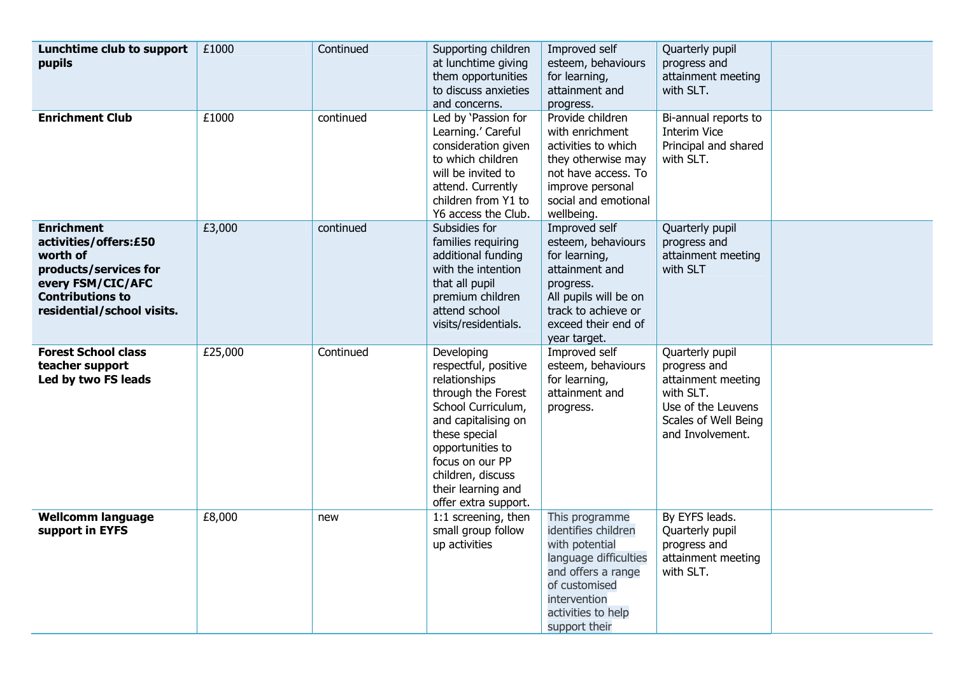| Lunchtime club to support<br>pupils                                                                                                                           | £1000   | Continued | Supporting children<br>at lunchtime giving<br>them opportunities<br>to discuss anxieties<br>and concerns.                                                                                                                                         | Improved self<br>esteem, behaviours<br>for learning,<br>attainment and<br>progress.                                                                                            | Quarterly pupil<br>progress and<br>attainment meeting<br>with SLT.                                                                   |  |
|---------------------------------------------------------------------------------------------------------------------------------------------------------------|---------|-----------|---------------------------------------------------------------------------------------------------------------------------------------------------------------------------------------------------------------------------------------------------|--------------------------------------------------------------------------------------------------------------------------------------------------------------------------------|--------------------------------------------------------------------------------------------------------------------------------------|--|
| <b>Enrichment Club</b>                                                                                                                                        | £1000   | continued | Led by 'Passion for<br>Learning.' Careful<br>consideration given<br>to which children<br>will be invited to<br>attend. Currently<br>children from Y1 to<br>Y6 access the Club.                                                                    | Provide children<br>with enrichment<br>activities to which<br>they otherwise may<br>not have access. To<br>improve personal<br>social and emotional<br>wellbeing.              | Bi-annual reports to<br><b>Interim Vice</b><br>Principal and shared<br>with SLT.                                                     |  |
| <b>Enrichment</b><br>activities/offers:£50<br>worth of<br>products/services for<br>every FSM/CIC/AFC<br><b>Contributions to</b><br>residential/school visits. | £3,000  | continued | Subsidies for<br>families requiring<br>additional funding<br>with the intention<br>that all pupil<br>premium children<br>attend school<br>visits/residentials.                                                                                    | Improved self<br>esteem, behaviours<br>for learning,<br>attainment and<br>progress.<br>All pupils will be on<br>track to achieve or<br>exceed their end of<br>year target.     | Quarterly pupil<br>progress and<br>attainment meeting<br>with SLT                                                                    |  |
| <b>Forest School class</b><br>teacher support<br>Led by two FS leads                                                                                          | £25,000 | Continued | Developing<br>respectful, positive<br>relationships<br>through the Forest<br>School Curriculum,<br>and capitalising on<br>these special<br>opportunities to<br>focus on our PP<br>children, discuss<br>their learning and<br>offer extra support. | Improved self<br>esteem, behaviours<br>for learning,<br>attainment and<br>progress.                                                                                            | Quarterly pupil<br>progress and<br>attainment meeting<br>with SLT.<br>Use of the Leuvens<br>Scales of Well Being<br>and Involvement. |  |
| <b>Wellcomm language</b><br>support in EYFS                                                                                                                   | £8,000  | new       | 1:1 screening, then<br>small group follow<br>up activities                                                                                                                                                                                        | This programme<br>identifies children<br>with potential<br>language difficulties<br>and offers a range<br>of customised<br>intervention<br>activities to help<br>support their | By EYFS leads.<br>Quarterly pupil<br>progress and<br>attainment meeting<br>with SLT.                                                 |  |